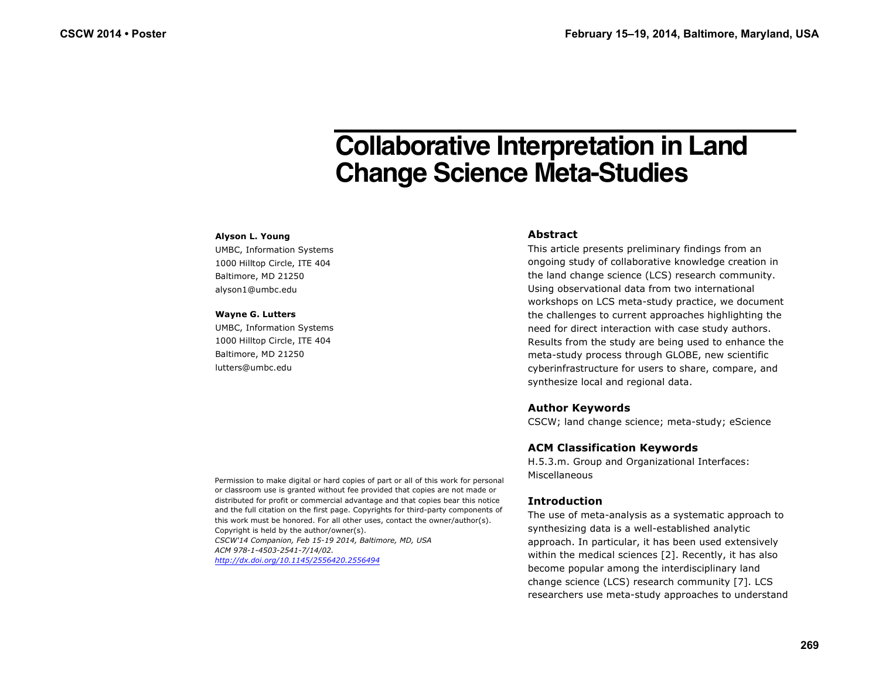# **Collaborative Interpretation in Land Change Science Meta-Studies**

#### **Alyson L. Young**

UMBC, Information Systems 1000 Hilltop Circle, ITE 404 Baltimore, MD 21250 alyson1@umbc.edu

#### **Wayne G. Lutters**

UMBC, Information Systems 1000 Hilltop Circle, ITE 404 Baltimore, MD 21250 lutters@umbc.edu

## **Abstract**

This article presents preliminary findings from an ongoing study of collaborative knowledge creation in the land change science (LCS) research community. Using observational data from two international workshops on LCS meta-study practice, we document the challenges to current approaches highlighting the need for direct interaction with case study authors. Results from the study are being used to enhance the meta-study process through GLOBE, new scientific cyberinfrastructure for users to share, compare, and synthesize local and regional data.

# **Author Keywords**

CSCW; land change science; meta-study; eScience

# **ACM Classification Keywords**

H.5.3.m. Group and Organizational Interfaces: Miscellaneous

# **Introduction**

The use of meta-analysis as a systematic approach to synthesizing data is a well-established analytic approach. In particular, it has been used extensively within the medical sciences [2]. Recently, it has also become popular among the interdisciplinary land change science (LCS) research community [7]. LCS researchers use meta-study approaches to understand

Permission to make digital or hard copies of part or all of this work for personal or classroom use is granted without fee provided that copies are not made or distributed for profit or commercial advantage and that copies bear this notice and the full citation on the first page. Copyrights for third-party components of this work must be honored. For all other uses, contact the owner/author(s). Copyright is held by the author/owner(s). *CSCW'14 Companion, Feb 15-19 2014, Baltimore, MD, USA ACM 978-1-4503-2541-7/14/02.*

*http://dx.doi.org/10.1145/2556420.2556494*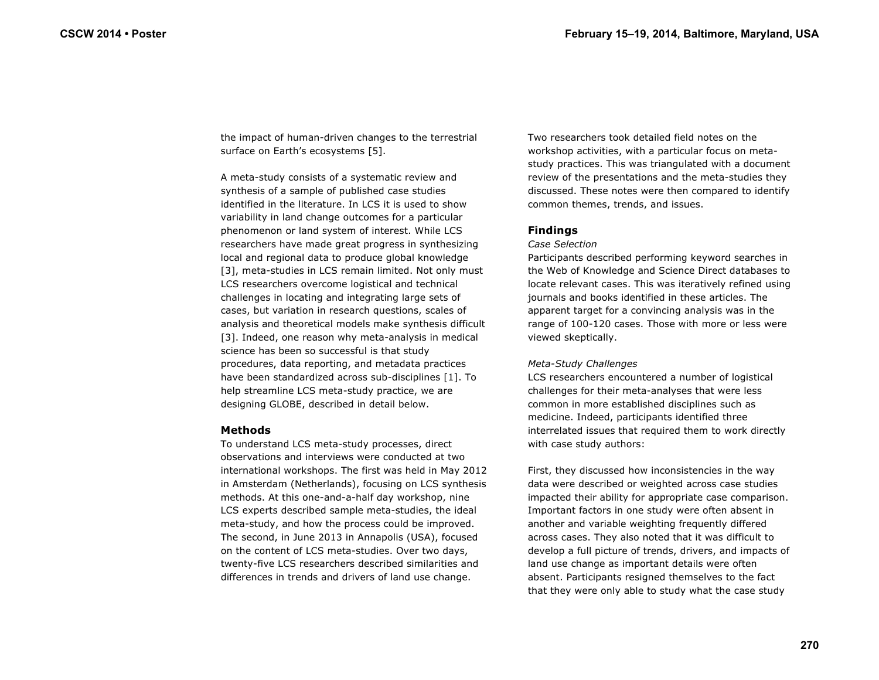the impact of human-driven changes to the terrestrial surface on Earth's ecosystems [5].

A meta-study consists of a systematic review and synthesis of a sample of published case studies identified in the literature. In LCS it is used to show variability in land change outcomes for a particular phenomenon or land system of interest. While LCS researchers have made great progress in synthesizing local and regional data to produce global knowledge [3], meta-studies in LCS remain limited. Not only must LCS researchers overcome logistical and technical challenges in locating and integrating large sets of cases, but variation in research questions, scales of analysis and theoretical models make synthesis difficult [3]. Indeed, one reason why meta-analysis in medical science has been so successful is that study procedures, data reporting, and metadata practices have been standardized across sub-disciplines [1]. To help streamline LCS meta-study practice, we are designing GLOBE, described in detail below.

## **Methods**

To understand LCS meta-study processes, direct observations and interviews were conducted at two international workshops. The first was held in May 2012 in Amsterdam (Netherlands), focusing on LCS synthesis methods. At this one-and-a-half day workshop, nine LCS experts described sample meta-studies, the ideal meta-study, and how the process could be improved. The second, in June 2013 in Annapolis (USA), focused on the content of LCS meta-studies. Over two days, twenty-five LCS researchers described similarities and differences in trends and drivers of land use change.

Two researchers took detailed field notes on the workshop activities, with a particular focus on metastudy practices. This was triangulated with a document review of the presentations and the meta-studies they discussed. These notes were then compared to identify common themes, trends, and issues.

## **Findings**

#### *Case Selection*

Participants described performing keyword searches in the Web of Knowledge and Science Direct databases to locate relevant cases. This was iteratively refined using journals and books identified in these articles. The apparent target for a convincing analysis was in the range of 100-120 cases. Those with more or less were viewed skeptically.

## *Meta-Study Challenges*

LCS researchers encountered a number of logistical challenges for their meta-analyses that were less common in more established disciplines such as medicine. Indeed, participants identified three interrelated issues that required them to work directly with case study authors:

First, they discussed how inconsistencies in the way data were described or weighted across case studies impacted their ability for appropriate case comparison. Important factors in one study were often absent in another and variable weighting frequently differed across cases. They also noted that it was difficult to develop a full picture of trends, drivers, and impacts of land use change as important details were often absent. Participants resigned themselves to the fact that they were only able to study what the case study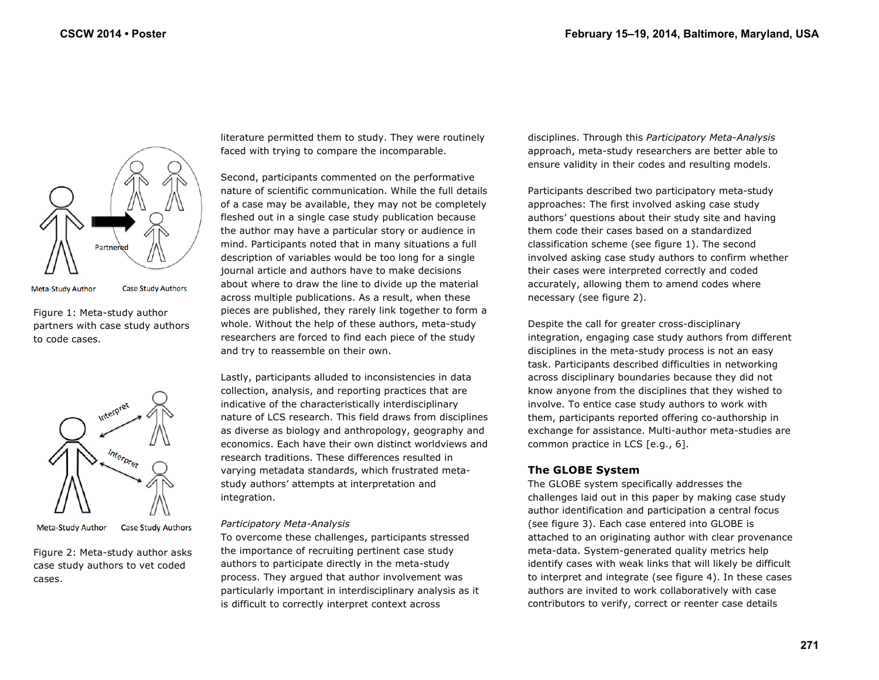

Meta-Study Author

**Case Study Authors** 

Figure 1: Meta-study author partners with case study authors to code cases.



**Meta-Study Author Case Study Authors** 

Figure 2: Meta-study author asks case study authors to vet coded cases.

literature permitted them to study. They were routinely faced with trying to compare the incomparable.

Second, participants commented on the performative nature of scientific communication. While the full details of a case may be available, they may not be completely fleshed out in a single case study publication because the author may have a particular story or audience in mind. Participants noted that in many situations a full description of variables would be too long for a single journal article and authors have to make decisions about where to draw the line to divide up the material across multiple publications. As a result, when these pieces are published, they rarely link together to form a whole. Without the help of these authors, meta-study researchers are forced to find each piece of the study and try to reassemble on their own.

Lastly, participants alluded to inconsistencies in data collection, analysis, and reporting practices that are indicative of the characteristically interdisciplinary nature of LCS research. This field draws from disciplines as diverse as biology and anthropology, geography and economics. Each have their own distinct worldviews and research traditions. These differences resulted in varying metadata standards, which frustrated metastudy authors' attempts at interpretation and integration.

# *Participatory Meta-Analysis*

To overcome these challenges, participants stressed the importance of recruiting pertinent case study authors to participate directly in the meta-study process. They argued that author involvement was particularly important in interdisciplinary analysis as it is difficult to correctly interpret context across

disciplines. Through this *Participatory Meta-Analysis*  approach, meta-study researchers are better able to ensure validity in their codes and resulting models.

Participants described two participatory meta-study approaches: The first involved asking case study authors' questions about their study site and having them code their cases based on a standardized classification scheme (see figure 1). The second involved asking case study authors to confirm whether their cases were interpreted correctly and coded accurately, allowing them to amend codes where necessary (see figure 2).

Despite the call for greater cross-disciplinary integration, engaging case study authors from different disciplines in the meta-study process is not an easy task. Participants described difficulties in networking across disciplinary boundaries because they did not know anyone from the disciplines that they wished to involve. To entice case study authors to work with them, participants reported offering co-authorship in exchange for assistance. Multi-author meta-studies are common practice in LCS [e.g., 6].

# **The GLOBE System**

The GLOBE system specifically addresses the challenges laid out in this paper by making case study author identification and participation a central focus (see figure 3). Each case entered into GLOBE is attached to an originating author with clear provenance meta-data. System-generated quality metrics help identify cases with weak links that will likely be difficult to interpret and integrate (see figure 4). In these cases authors are invited to work collaboratively with case contributors to verify, correct or reenter case details